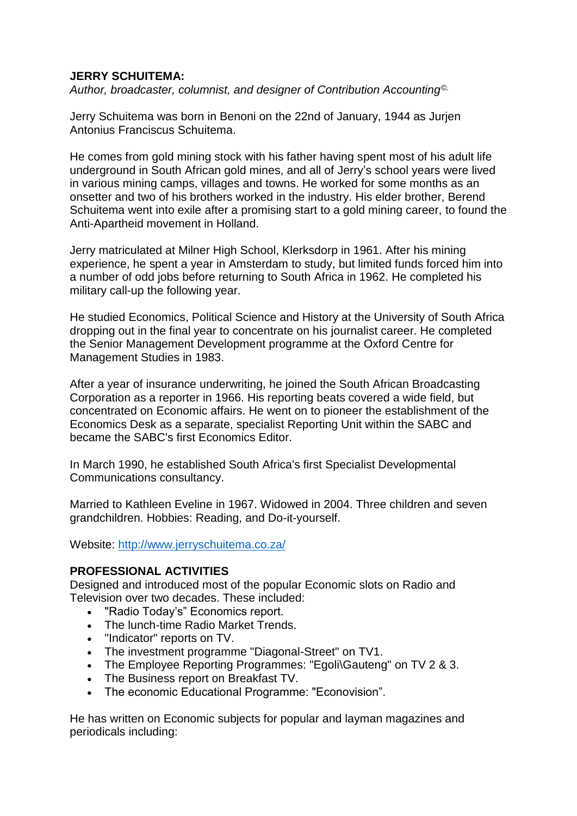#### **JERRY SCHUITEMA:**

*Author, broadcaster, columnist, and designer of Contribution Accounting©.*

Jerry Schuitema was born in Benoni on the 22nd of January, 1944 as Jurjen Antonius Franciscus Schuitema.

He comes from gold mining stock with his father having spent most of his adult life underground in South African gold mines, and all of Jerry's school years were lived in various mining camps, villages and towns. He worked for some months as an onsetter and two of his brothers worked in the industry. His elder brother, Berend Schuitema went into exile after a promising start to a gold mining career, to found the Anti-Apartheid movement in Holland.

Jerry matriculated at Milner High School, Klerksdorp in 1961. After his mining experience, he spent a year in Amsterdam to study, but limited funds forced him into a number of odd jobs before returning to South Africa in 1962. He completed his military call-up the following year.

He studied Economics, Political Science and History at the University of South Africa dropping out in the final year to concentrate on his journalist career. He completed the Senior Management Development programme at the Oxford Centre for Management Studies in 1983.

After a year of insurance underwriting, he joined the South African Broadcasting Corporation as a reporter in 1966. His reporting beats covered a wide field, but concentrated on Economic affairs. He went on to pioneer the establishment of the Economics Desk as a separate, specialist Reporting Unit within the SABC and became the SABC's first Economics Editor.

In March 1990, he established South Africa's first Specialist Developmental Communications consultancy.

Married to Kathleen Eveline in 1967. Widowed in 2004. Three children and seven grandchildren. Hobbies: Reading, and Do-it-yourself.

Website: <http://www.jerryschuitema.co.za/>

#### **PROFESSIONAL ACTIVITIES**

Designed and introduced most of the popular Economic slots on Radio and Television over two decades. These included:

- "Radio Today's" Economics report.
- The lunch-time Radio Market Trends.
- "Indicator" reports on TV.
- The investment programme "Diagonal-Street" on TV1.
- The Employee Reporting Programmes: "Egoli\Gauteng" on TV 2 & 3.
- The Business report on Breakfast TV.
- The economic Educational Programme: "Econovision".

He has written on Economic subjects for popular and layman magazines and periodicals including: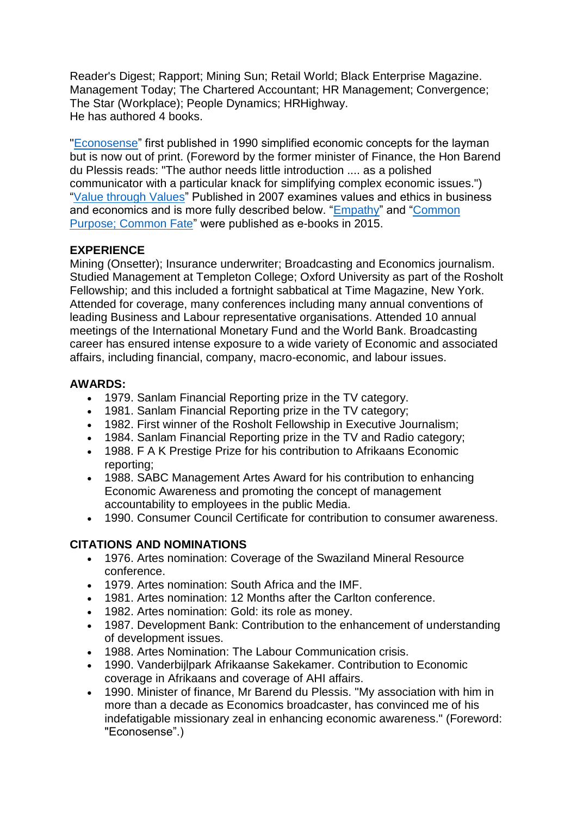Reader's Digest; Rapport; Mining Sun; Retail World; Black Enterprise Magazine. Management Today; The Chartered Accountant; HR Management; Convergence; The Star (Workplace); People Dynamics; HRHighway. He has authored 4 books.

["Econosense"](https://books.google.co.za/books/about/Econosense.html?id=IS4xAQAAIAAJ&redir_esc=y) first published in 1990 simplified economic concepts for the layman but is now out of print. (Foreword by the former minister of Finance, the Hon Barend du Plessis reads: "The author needs little introduction .... as a polished communicator with a particular knack for simplifying complex economic issues.") ["Value through Values"](https://www.amazon.com/Value-Through-Values-Giving-Creating/dp/0620376546?ie=UTF8&*Version*=1&*entries*=0) Published in 2007 examines values and ethics in business and economics and is more fully described below. ["Empathy"](https://www.amazon.com/Empathy-power-within-Jerry-Schuitema-ebook/dp/B00O2WXCHK) and ["Common](https://www.amazon.com/Common-Purpose-Fate-business-empathy-ebook/dp/B00O293TWG)  [Purpose; Common Fate"](https://www.amazon.com/Common-Purpose-Fate-business-empathy-ebook/dp/B00O293TWG) were published as e-books in 2015.

# **EXPERIENCE**

Mining (Onsetter); Insurance underwriter; Broadcasting and Economics journalism. Studied Management at Templeton College; Oxford University as part of the Rosholt Fellowship; and this included a fortnight sabbatical at Time Magazine, New York. Attended for coverage, many conferences including many annual conventions of leading Business and Labour representative organisations. Attended 10 annual meetings of the International Monetary Fund and the World Bank. Broadcasting career has ensured intense exposure to a wide variety of Economic and associated affairs, including financial, company, macro-economic, and labour issues.

# **AWARDS:**

- 1979. Sanlam Financial Reporting prize in the TV category.
- 1981. Sanlam Financial Reporting prize in the TV category;
- 1982. First winner of the Rosholt Fellowship in Executive Journalism;
- 1984. Sanlam Financial Reporting prize in the TV and Radio category;
- 1988. F A K Prestige Prize for his contribution to Afrikaans Economic reporting;
- 1988. SABC Management Artes Award for his contribution to enhancing Economic Awareness and promoting the concept of management accountability to employees in the public Media.
- 1990. Consumer Council Certificate for contribution to consumer awareness.

# **CITATIONS AND NOMINATIONS**

- 1976. Artes nomination: Coverage of the Swaziland Mineral Resource conference.
- 1979. Artes nomination: South Africa and the IMF.
- 1981. Artes nomination: 12 Months after the Carlton conference.
- 1982. Artes nomination: Gold: its role as money.
- 1987. Development Bank: Contribution to the enhancement of understanding of development issues.
- 1988. Artes Nomination: The Labour Communication crisis.
- 1990. Vanderbijlpark Afrikaanse Sakekamer. Contribution to Economic coverage in Afrikaans and coverage of AHI affairs.
- 1990. Minister of finance, Mr Barend du Plessis. "My association with him in more than a decade as Economics broadcaster, has convinced me of his indefatigable missionary zeal in enhancing economic awareness." (Foreword: "Econosense".)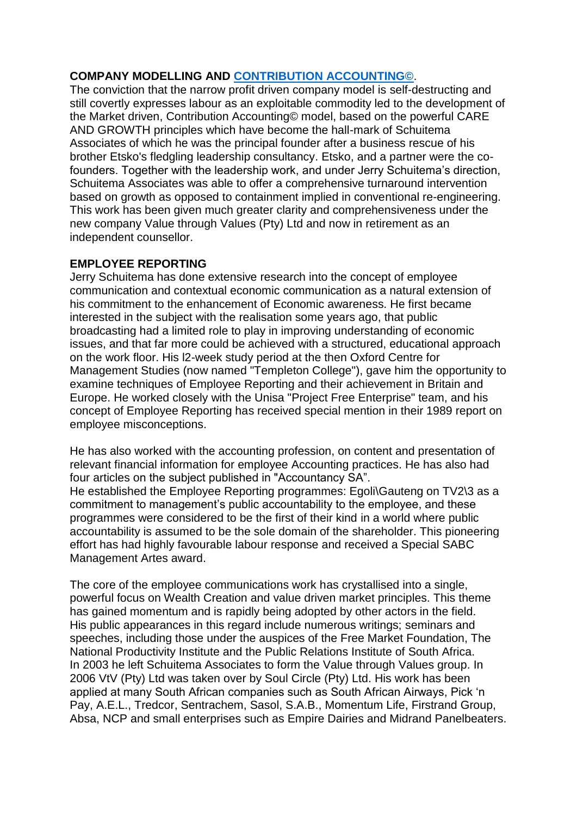### **COMPANY MODELLING AND [CONTRIBUTION ACCOUNTING©](http://www.moneyweb.co.za/moneyweb-opinion/changing-the-conversation/)**.

The conviction that the narrow profit driven company model is self-destructing and still covertly expresses labour as an exploitable commodity led to the development of the Market driven, Contribution Accounting© model, based on the powerful CARE AND GROWTH principles which have become the hall-mark of Schuitema Associates of which he was the principal founder after a business rescue of his brother Etsko's fledgling leadership consultancy. Etsko, and a partner were the cofounders. Together with the leadership work, and under Jerry Schuitema's direction, Schuitema Associates was able to offer a comprehensive turnaround intervention based on growth as opposed to containment implied in conventional re-engineering. This work has been given much greater clarity and comprehensiveness under the new company Value through Values (Pty) Ltd and now in retirement as an independent counsellor.

#### **EMPLOYEE REPORTING**

Jerry Schuitema has done extensive research into the concept of employee communication and contextual economic communication as a natural extension of his commitment to the enhancement of Economic awareness. He first became interested in the subject with the realisation some years ago, that public broadcasting had a limited role to play in improving understanding of economic issues, and that far more could be achieved with a structured, educational approach on the work floor. His l2-week study period at the then Oxford Centre for Management Studies (now named "Templeton College"), gave him the opportunity to examine techniques of Employee Reporting and their achievement in Britain and Europe. He worked closely with the Unisa "Project Free Enterprise" team, and his concept of Employee Reporting has received special mention in their 1989 report on employee misconceptions.

He has also worked with the accounting profession, on content and presentation of relevant financial information for employee Accounting practices. He has also had four articles on the subject published in "Accountancy SA". He established the Employee Reporting programmes: Egoli\Gauteng on TV2\3 as a commitment to management's public accountability to the employee, and these programmes were considered to be the first of their kind in a world where public accountability is assumed to be the sole domain of the shareholder. This pioneering effort has had highly favourable labour response and received a Special SABC Management Artes award.

The core of the employee communications work has crystallised into a single, powerful focus on Wealth Creation and value driven market principles. This theme has gained momentum and is rapidly being adopted by other actors in the field. His public appearances in this regard include numerous writings; seminars and speeches, including those under the auspices of the Free Market Foundation, The National Productivity Institute and the Public Relations Institute of South Africa. In 2003 he left Schuitema Associates to form the Value through Values group. In 2006 VtV (Pty) Ltd was taken over by Soul Circle (Pty) Ltd. His work has been applied at many South African companies such as South African Airways, Pick 'n Pay, A.E.L., Tredcor, Sentrachem, Sasol, S.A.B., Momentum Life, Firstrand Group, Absa, NCP and small enterprises such as Empire Dairies and Midrand Panelbeaters.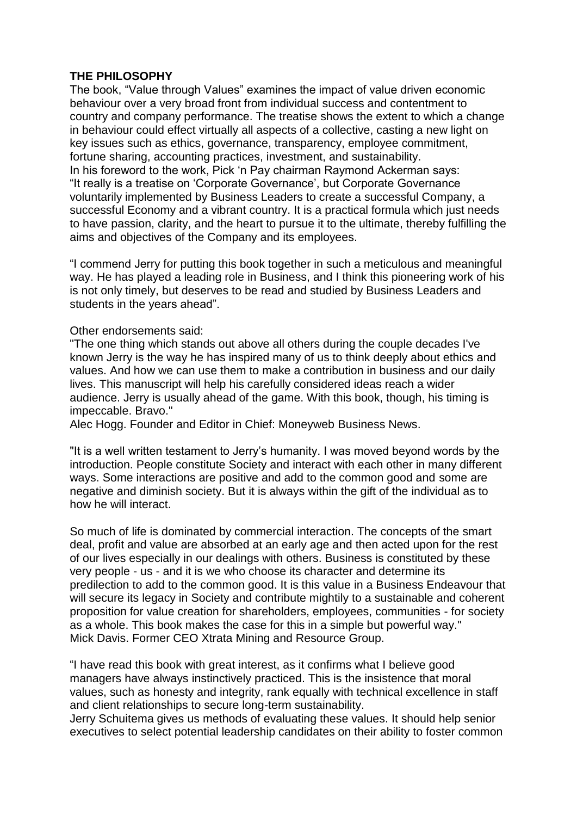#### **THE PHILOSOPHY**

The book, "Value through Values" examines the impact of value driven economic behaviour over a very broad front from individual success and contentment to country and company performance. The treatise shows the extent to which a change in behaviour could effect virtually all aspects of a collective, casting a new light on key issues such as ethics, governance, transparency, employee commitment, fortune sharing, accounting practices, investment, and sustainability. In his foreword to the work, Pick 'n Pay chairman Raymond Ackerman says: "It really is a treatise on 'Corporate Governance', but Corporate Governance voluntarily implemented by Business Leaders to create a successful Company, a successful Economy and a vibrant country. It is a practical formula which just needs to have passion, clarity, and the heart to pursue it to the ultimate, thereby fulfilling the aims and objectives of the Company and its employees.

"I commend Jerry for putting this book together in such a meticulous and meaningful way. He has played a leading role in Business, and I think this pioneering work of his is not only timely, but deserves to be read and studied by Business Leaders and students in the years ahead".

Other endorsements said:

"The one thing which stands out above all others during the couple decades I've known Jerry is the way he has inspired many of us to think deeply about ethics and values. And how we can use them to make a contribution in business and our daily lives. This manuscript will help his carefully considered ideas reach a wider audience. Jerry is usually ahead of the game. With this book, though, his timing is impeccable. Bravo."

Alec Hogg. Founder and Editor in Chief: Moneyweb Business News.

"It is a well written testament to Jerry's humanity. I was moved beyond words by the introduction. People constitute Society and interact with each other in many different ways. Some interactions are positive and add to the common good and some are negative and diminish society. But it is always within the gift of the individual as to how he will interact.

So much of life is dominated by commercial interaction. The concepts of the smart deal, profit and value are absorbed at an early age and then acted upon for the rest of our lives especially in our dealings with others. Business is constituted by these very people - us - and it is we who choose its character and determine its predilection to add to the common good. It is this value in a Business Endeavour that will secure its legacy in Society and contribute mightily to a sustainable and coherent proposition for value creation for shareholders, employees, communities - for society as a whole. This book makes the case for this in a simple but powerful way." Mick Davis. Former CEO Xtrata Mining and Resource Group.

"I have read this book with great interest, as it confirms what I believe good managers have always instinctively practiced. This is the insistence that moral values, such as honesty and integrity, rank equally with technical excellence in staff and client relationships to secure long-term sustainability.

Jerry Schuitema gives us methods of evaluating these values. It should help senior executives to select potential leadership candidates on their ability to foster common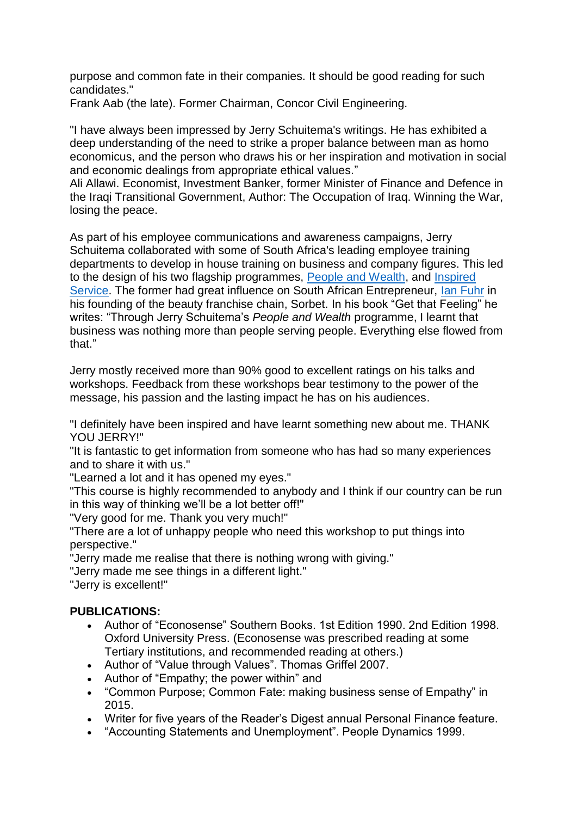purpose and common fate in their companies. It should be good reading for such candidates."

Frank Aab (the late). Former Chairman, Concor Civil Engineering.

"I have always been impressed by Jerry Schuitema's writings. He has exhibited a deep understanding of the need to strike a proper balance between man as homo economicus, and the person who draws his or her inspiration and motivation in social and economic dealings from appropriate ethical values."

Ali Allawi. Economist, Investment Banker, former Minister of Finance and Defence in the Iraqi Transitional Government, Author: The Occupation of Iraq. Winning the War, losing the peace.

As part of his employee communications and awareness campaigns, Jerry Schuitema collaborated with some of South Africa's leading employee training departments to develop in house training on business and company figures. This led to the design of his two flagship programmes, [People and Wealth,](https://www.dropbox.com/s/t76fe2xyvtr4gnu/pwblurb.pdf?dl=0) and Inspired [Service.](https://www.dropbox.com/s/0gcm91eoh63ecb7/inspired_serviceblurb.pdf?dl=0) The former had great influence on South African Entrepreneur, [Ian Fuhr](http://penguinbooks.co.za/book/get-feeling/9780143538936) in his founding of the beauty franchise chain, Sorbet. In his book "Get that Feeling" he writes: "Through Jerry Schuitema's *People and Wealth* programme, I learnt that business was nothing more than people serving people. Everything else flowed from that."

Jerry mostly received more than 90% good to excellent ratings on his talks and workshops. Feedback from these workshops bear testimony to the power of the message, his passion and the lasting impact he has on his audiences.

"I definitely have been inspired and have learnt something new about me. THANK YOU JERRY!"

"It is fantastic to get information from someone who has had so many experiences and to share it with us."

"Learned a lot and it has opened my eyes."

"This course is highly recommended to anybody and I think if our country can be run in this way of thinking we'll be a lot better off!"

"Very good for me. Thank you very much!"

"There are a lot of unhappy people who need this workshop to put things into perspective."

"Jerry made me realise that there is nothing wrong with giving."

"Jerry made me see things in a different light."

"Jerry is excellent!"

# **PUBLICATIONS:**

- Author of "Econosense" Southern Books. 1st Edition 1990. 2nd Edition 1998. Oxford University Press. (Econosense was prescribed reading at some Tertiary institutions, and recommended reading at others.)
- Author of "Value through Values". Thomas Griffel 2007.
- Author of "Empathy; the power within" and
- "Common Purpose; Common Fate: making business sense of Empathy" in 2015.
- Writer for five years of the Reader's Digest annual Personal Finance feature.
- "Accounting Statements and Unemployment". People Dynamics 1999.